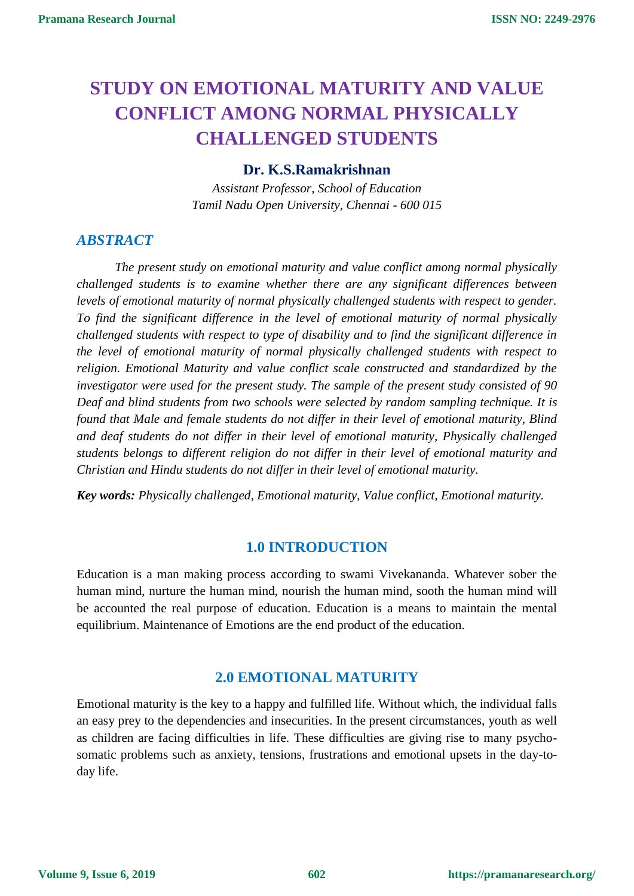# **STUDY ON EMOTIONAL MATURITY AND VALUE CONFLICT AMONG NORMAL PHYSICALLY CHALLENGED STUDENTS**

#### **Dr. K.S.Ramakrishnan**

*Assistant Professor, School of Education Tamil Nadu Open University, Chennai - 600 015*

## *ABSTRACT*

*The present study on emotional maturity and value conflict among normal physically challenged students is to examine whether there are any significant differences between levels of emotional maturity of normal physically challenged students with respect to gender. To find the significant difference in the level of emotional maturity of normal physically challenged students with respect to type of disability and to find the significant difference in the level of emotional maturity of normal physically challenged students with respect to religion. Emotional Maturity and value conflict scale constructed and standardized by the investigator were used for the present study. The sample of the present study consisted of 90 Deaf and blind students from two schools were selected by random sampling technique. It is found that Male and female students do not differ in their level of emotional maturity, Blind and deaf students do not differ in their level of emotional maturity, Physically challenged students belongs to different religion do not differ in their level of emotional maturity and Christian and Hindu students do not differ in their level of emotional maturity.*

*Key words: Physically challenged, Emotional maturity, Value conflict, Emotional maturity.*

## **1.0 INTRODUCTION**

Education is a man making process according to swami Vivekananda. Whatever sober the human mind, nurture the human mind, nourish the human mind, sooth the human mind will be accounted the real purpose of education. Education is a means to maintain the mental equilibrium. Maintenance of Emotions are the end product of the education.

## **2.0 EMOTIONAL MATURITY**

Emotional maturity is the key to a happy and fulfilled life. Without which, the individual falls an easy prey to the dependencies and insecurities. In the present circumstances, youth as well as children are facing difficulties in life. These difficulties are giving rise to many psychosomatic problems such as anxiety, tensions, frustrations and emotional upsets in the day-today life.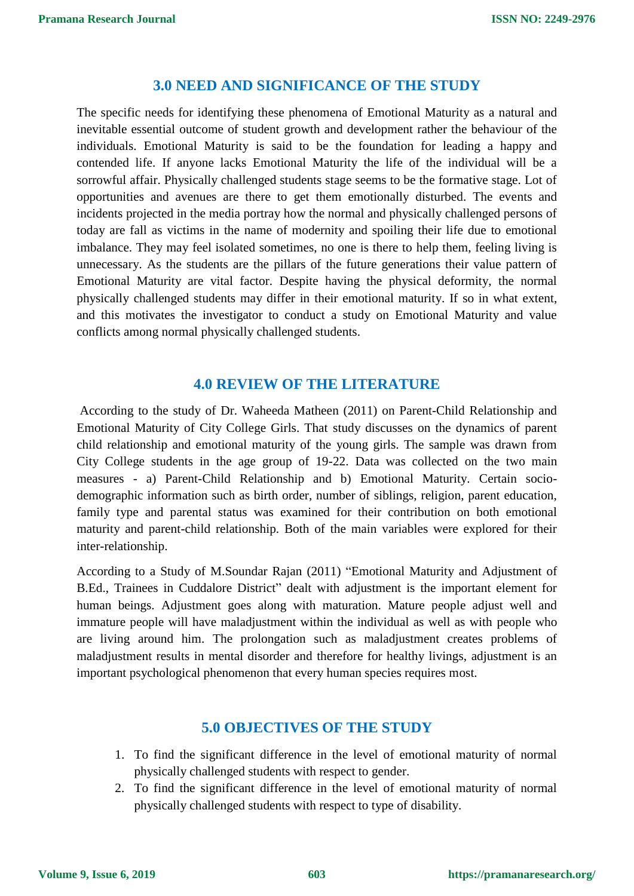## **3.0 NEED AND SIGNIFICANCE OF THE STUDY**

The specific needs for identifying these phenomena of Emotional Maturity as a natural and inevitable essential outcome of student growth and development rather the behaviour of the individuals. Emotional Maturity is said to be the foundation for leading a happy and contended life. If anyone lacks Emotional Maturity the life of the individual will be a sorrowful affair. Physically challenged students stage seems to be the formative stage. Lot of opportunities and avenues are there to get them emotionally disturbed. The events and incidents projected in the media portray how the normal and physically challenged persons of today are fall as victims in the name of modernity and spoiling their life due to emotional imbalance. They may feel isolated sometimes, no one is there to help them, feeling living is unnecessary. As the students are the pillars of the future generations their value pattern of Emotional Maturity are vital factor. Despite having the physical deformity, the normal physically challenged students may differ in their emotional maturity. If so in what extent, and this motivates the investigator to conduct a study on Emotional Maturity and value conflicts among normal physically challenged students.

## **4.0 REVIEW OF THE LITERATURE**

According to the study of Dr. Waheeda Matheen (2011) on Parent-Child Relationship and Emotional Maturity of City College Girls. That study discusses on the dynamics of parent child relationship and emotional maturity of the young girls. The sample was drawn from City College students in the age group of 19-22. Data was collected on the two main measures - a) Parent-Child Relationship and b) Emotional Maturity. Certain sociodemographic information such as birth order, number of siblings, religion, parent education, family type and parental status was examined for their contribution on both emotional maturity and parent-child relationship. Both of the main variables were explored for their inter-relationship.

According to a Study of M.Soundar Rajan (2011) "Emotional Maturity and Adjustment of B.Ed., Trainees in Cuddalore District" dealt with adjustment is the important element for human beings. Adjustment goes along with maturation. Mature people adjust well and immature people will have maladjustment within the individual as well as with people who are living around him. The prolongation such as maladjustment creates problems of maladjustment results in mental disorder and therefore for healthy livings, adjustment is an important psychological phenomenon that every human species requires most.

## **5.0 OBJECTIVES OF THE STUDY**

- 1. To find the significant difference in the level of emotional maturity of normal physically challenged students with respect to gender.
- 2. To find the significant difference in the level of emotional maturity of normal physically challenged students with respect to type of disability.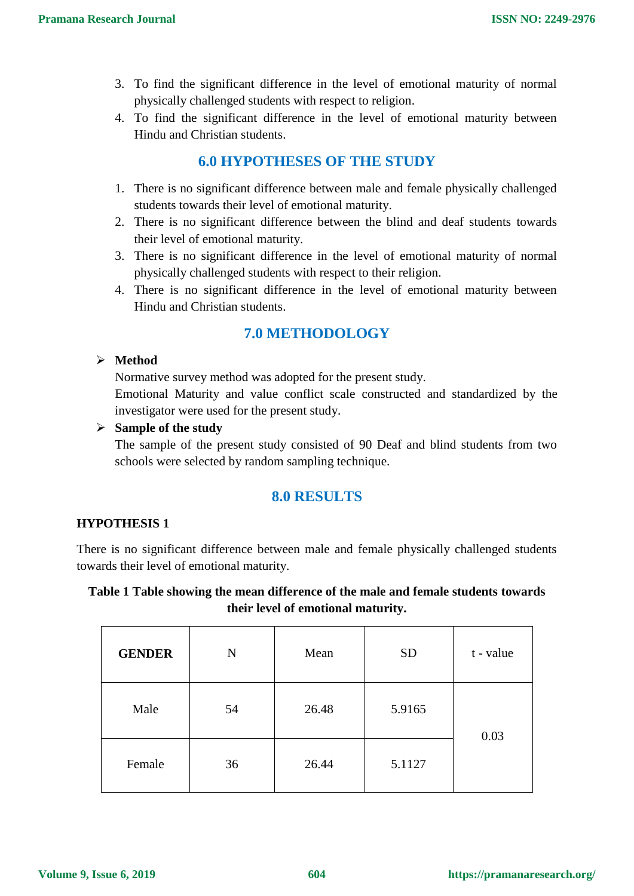- 3. To find the significant difference in the level of emotional maturity of normal physically challenged students with respect to religion.
- 4. To find the significant difference in the level of emotional maturity between Hindu and Christian students.

## **6.0 HYPOTHESES OF THE STUDY**

- 1. There is no significant difference between male and female physically challenged students towards their level of emotional maturity.
- 2. There is no significant difference between the blind and deaf students towards their level of emotional maturity.
- 3. There is no significant difference in the level of emotional maturity of normal physically challenged students with respect to their religion.
- 4. There is no significant difference in the level of emotional maturity between Hindu and Christian students.

# **7.0 METHODOLOGY**

## **Method**

Normative survey method was adopted for the present study.

Emotional Maturity and value conflict scale constructed and standardized by the investigator were used for the present study.

## **Sample of the study**

The sample of the present study consisted of 90 Deaf and blind students from two schools were selected by random sampling technique.

## **8.0 RESULTS**

## **HYPOTHESIS 1**

There is no significant difference between male and female physically challenged students towards their level of emotional maturity.

## **Table 1 Table showing the mean difference of the male and female students towards their level of emotional maturity.**

| <b>GENDER</b> | N  | Mean  | <b>SD</b> | t - value |  |
|---------------|----|-------|-----------|-----------|--|
| Male          | 54 | 26.48 | 5.9165    | 0.03      |  |
| Female        | 36 | 26.44 | 5.1127    |           |  |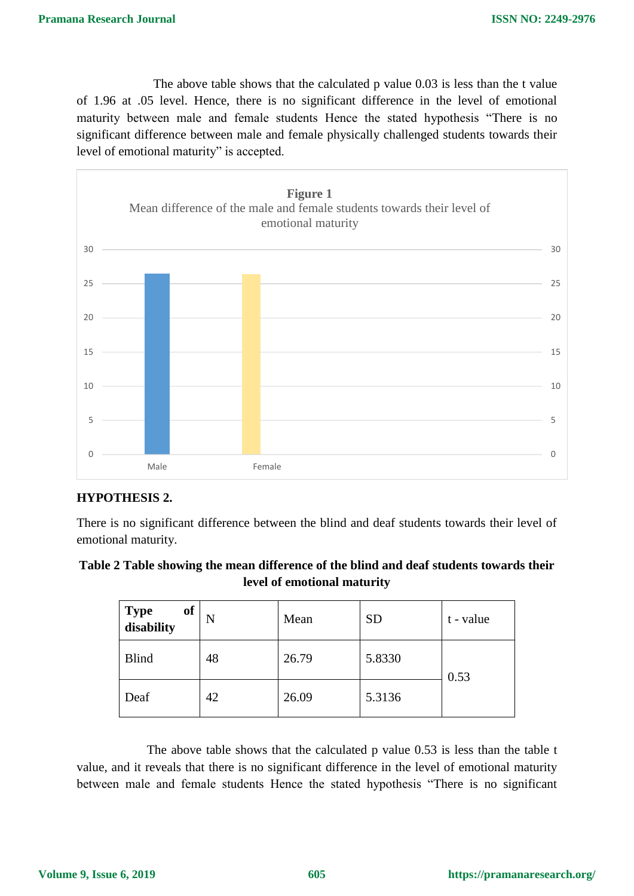The above table shows that the calculated p value 0.03 is less than the t value of 1.96 at .05 level. Hence, there is no significant difference in the level of emotional maturity between male and female students Hence the stated hypothesis "There is no significant difference between male and female physically challenged students towards their level of emotional maturity" is accepted.



## **HYPOTHESIS 2.**

There is no significant difference between the blind and deaf students towards their level of emotional maturity.

## **Table 2 Table showing the mean difference of the blind and deaf students towards their level of emotional maturity**

| of<br>Type<br>disability | N  | Mean  | <b>SD</b> | t - value |  |
|--------------------------|----|-------|-----------|-----------|--|
| <b>Blind</b>             | 48 | 26.79 | 5.8330    | 0.53      |  |
| Deaf                     | 42 | 26.09 | 5.3136    |           |  |

 The above table shows that the calculated p value 0.53 is less than the table t value, and it reveals that there is no significant difference in the level of emotional maturity between male and female students Hence the stated hypothesis "There is no significant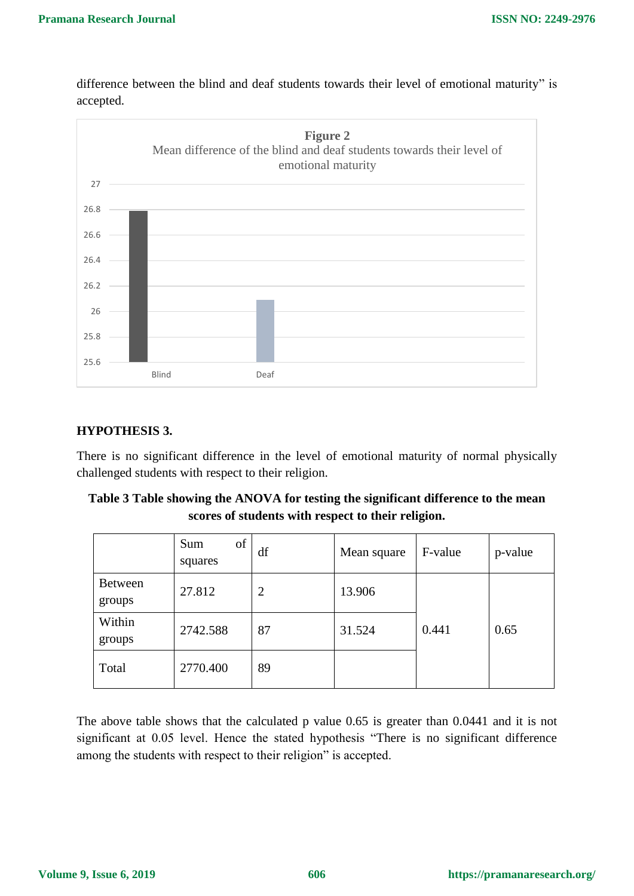difference between the blind and deaf students towards their level of emotional maturity" is accepted.



## **HYPOTHESIS 3.**

There is no significant difference in the level of emotional maturity of normal physically challenged students with respect to their religion.

| Table 3 Table showing the ANOVA for testing the significant difference to the mean |
|------------------------------------------------------------------------------------|
| scores of students with respect to their religion.                                 |

|                          | of<br>Sum<br>squares | df | Mean square | F-value | p-value |
|--------------------------|----------------------|----|-------------|---------|---------|
| <b>Between</b><br>groups | 27.812               | 2  | 13.906      |         |         |
| Within<br>groups         | 2742.588             | 87 | 31.524      | 0.441   | 0.65    |
| Total                    | 2770.400             | 89 |             |         |         |

The above table shows that the calculated p value 0.65 is greater than 0.0441 and it is not significant at 0.05 level. Hence the stated hypothesis "There is no significant difference among the students with respect to their religion" is accepted.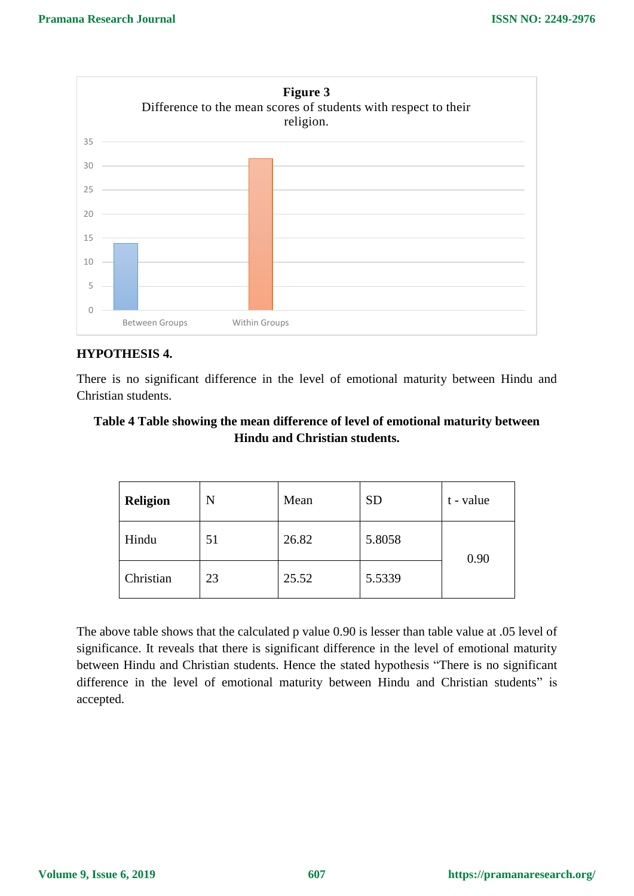

## **HYPOTHESIS 4.**

There is no significant difference in the level of emotional maturity between Hindu and Christian students.

## **Table 4 Table showing the mean difference of level of emotional maturity between Hindu and Christian students.**

| <b>Religion</b> | N  | Mean  | <b>SD</b> | t - value |  |
|-----------------|----|-------|-----------|-----------|--|
| Hindu           | 51 | 26.82 | 5.8058    | 0.90      |  |
| Christian       | 23 | 25.52 | 5.5339    |           |  |

The above table shows that the calculated p value 0.90 is lesser than table value at .05 level of significance. It reveals that there is significant difference in the level of emotional maturity between Hindu and Christian students. Hence the stated hypothesis "There is no significant difference in the level of emotional maturity between Hindu and Christian students" is accepted.